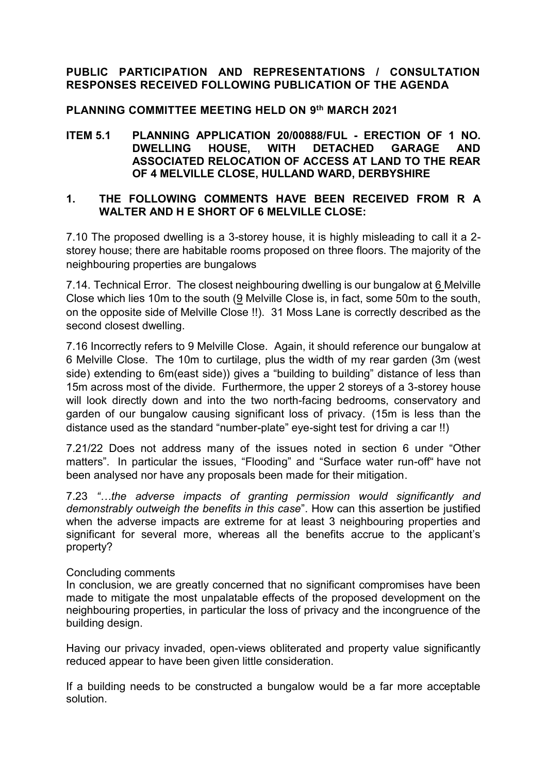# **PUBLIC PARTICIPATION AND REPRESENTATIONS / CONSULTATION RESPONSES RECEIVED FOLLOWING PUBLICATION OF THE AGENDA**

# **PLANNING COMMITTEE MEETING HELD ON 9 th MARCH 2021**

**ITEM 5.1 PLANNING APPLICATION 20/00888/FUL - ERECTION OF 1 NO. DWELLING HOUSE, WITH DETACHED GARAGE AND ASSOCIATED RELOCATION OF ACCESS AT LAND TO THE REAR OF 4 MELVILLE CLOSE, HULLAND WARD, DERBYSHIRE**

### **1. THE FOLLOWING COMMENTS HAVE BEEN RECEIVED FROM R A WALTER AND H E SHORT OF 6 MELVILLE CLOSE:**

7.10 The proposed dwelling is a 3-storey house, it is highly misleading to call it a 2 storey house; there are habitable rooms proposed on three floors. The majority of the neighbouring properties are bungalows

7.14. Technical Error. The closest neighbouring dwelling is our bungalow at 6 Melville Close which lies 10m to the south (9 Melville Close is, in fact, some 50m to the south, on the opposite side of Melville Close !!). 31 Moss Lane is correctly described as the second closest dwelling.

7.16 Incorrectly refers to 9 Melville Close. Again, it should reference our bungalow at 6 Melville Close. The 10m to curtilage, plus the width of my rear garden (3m (west side) extending to 6m(east side)) gives a "building to building" distance of less than 15m across most of the divide. Furthermore, the upper 2 storeys of a 3-storey house will look directly down and into the two north-facing bedrooms, conservatory and garden of our bungalow causing significant loss of privacy. (15m is less than the distance used as the standard "number-plate" eye-sight test for driving a car !!)

7.21/22 Does not address many of the issues noted in section 6 under "Other matters". In particular the issues, "Flooding" and "Surface water run-off" have not been analysed nor have any proposals been made for their mitigation.

7.23 *"…the adverse impacts of granting permission would significantly and demonstrably outweigh the benefits in this case*". How can this assertion be justified when the adverse impacts are extreme for at least 3 neighbouring properties and significant for several more, whereas all the benefits accrue to the applicant's property?

### Concluding comments

In conclusion, we are greatly concerned that no significant compromises have been made to mitigate the most unpalatable effects of the proposed development on the neighbouring properties, in particular the loss of privacy and the incongruence of the building design.

Having our privacy invaded, open-views obliterated and property value significantly reduced appear to have been given little consideration.

If a building needs to be constructed a bungalow would be a far more acceptable solution.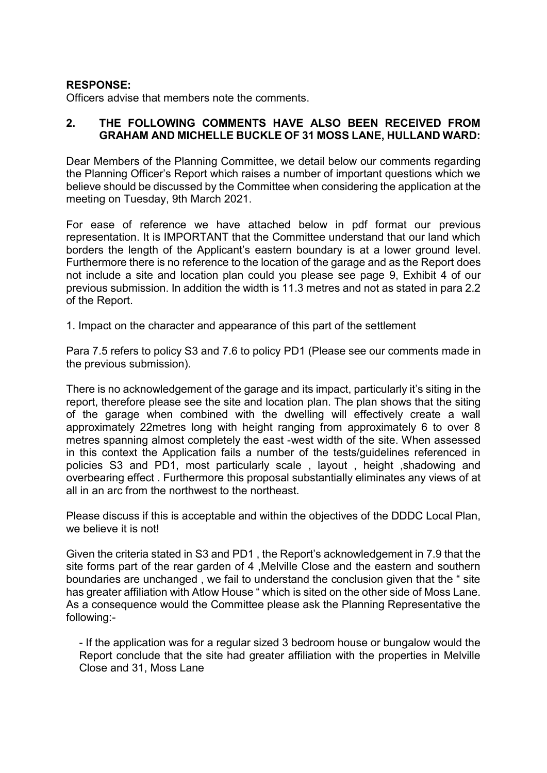## **RESPONSE:**

Officers advise that members note the comments.

## **2. THE FOLLOWING COMMENTS HAVE ALSO BEEN RECEIVED FROM GRAHAM AND MICHELLE BUCKLE OF 31 MOSS LANE, HULLAND WARD:**

Dear Members of the Planning Committee, we detail below our comments regarding the Planning Officer's Report which raises a number of important questions which we believe should be discussed by the Committee when considering the application at the meeting on Tuesday, 9th March 2021.

For ease of reference we have attached below in pdf format our previous representation. It is IMPORTANT that the Committee understand that our land which borders the length of the Applicant's eastern boundary is at a lower ground level. Furthermore there is no reference to the location of the garage and as the Report does not include a site and location plan could you please see page 9, Exhibit 4 of our previous submission. In addition the width is 11.3 metres and not as stated in para 2.2 of the Report.

1. Impact on the character and appearance of this part of the settlement

Para 7.5 refers to policy S3 and 7.6 to policy PD1 (Please see our comments made in the previous submission).

There is no acknowledgement of the garage and its impact, particularly it's siting in the report, therefore please see the site and location plan. The plan shows that the siting of the garage when combined with the dwelling will effectively create a wall approximately 22metres long with height ranging from approximately 6 to over 8 metres spanning almost completely the east -west width of the site. When assessed in this context the Application fails a number of the tests/guidelines referenced in policies S3 and PD1, most particularly scale , layout , height ,shadowing and overbearing effect . Furthermore this proposal substantially eliminates any views of at all in an arc from the northwest to the northeast.

Please discuss if this is acceptable and within the objectives of the DDDC Local Plan, we believe it is not!

Given the criteria stated in S3 and PD1 , the Report's acknowledgement in 7.9 that the site forms part of the rear garden of 4 ,Melville Close and the eastern and southern boundaries are unchanged , we fail to understand the conclusion given that the " site has greater affiliation with Atlow House " which is sited on the other side of Moss Lane. As a consequence would the Committee please ask the Planning Representative the following:-

- If the application was for a regular sized 3 bedroom house or bungalow would the Report conclude that the site had greater affiliation with the properties in Melville Close and 31, Moss Lane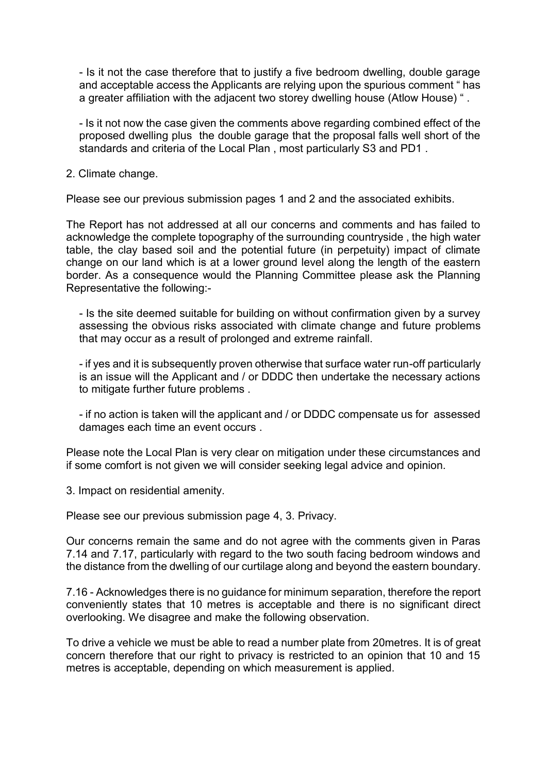- Is it not the case therefore that to justify a five bedroom dwelling, double garage and acceptable access the Applicants are relying upon the spurious comment " has a greater affiliation with the adjacent two storey dwelling house (Atlow House) " .

- Is it not now the case given the comments above regarding combined effect of the proposed dwelling plus the double garage that the proposal falls well short of the standards and criteria of the Local Plan , most particularly S3 and PD1 .

2. Climate change.

Please see our previous submission pages 1 and 2 and the associated exhibits.

The Report has not addressed at all our concerns and comments and has failed to acknowledge the complete topography of the surrounding countryside , the high water table, the clay based soil and the potential future (in perpetuity) impact of climate change on our land which is at a lower ground level along the length of the eastern border. As a consequence would the Planning Committee please ask the Planning Representative the following:-

- Is the site deemed suitable for building on without confirmation given by a survey assessing the obvious risks associated with climate change and future problems that may occur as a result of prolonged and extreme rainfall.

- if yes and it is subsequently proven otherwise that surface water run-off particularly is an issue will the Applicant and / or DDDC then undertake the necessary actions to mitigate further future problems .

- if no action is taken will the applicant and / or DDDC compensate us for assessed damages each time an event occurs .

Please note the Local Plan is very clear on mitigation under these circumstances and if some comfort is not given we will consider seeking legal advice and opinion.

3. Impact on residential amenity.

Please see our previous submission page 4, 3. Privacy.

Our concerns remain the same and do not agree with the comments given in Paras 7.14 and 7.17, particularly with regard to the two south facing bedroom windows and the distance from the dwelling of our curtilage along and beyond the eastern boundary.

7.16 - Acknowledges there is no guidance for minimum separation, therefore the report conveniently states that 10 metres is acceptable and there is no significant direct overlooking. We disagree and make the following observation.

To drive a vehicle we must be able to read a number plate from 20metres. It is of great concern therefore that our right to privacy is restricted to an opinion that 10 and 15 metres is acceptable, depending on which measurement is applied.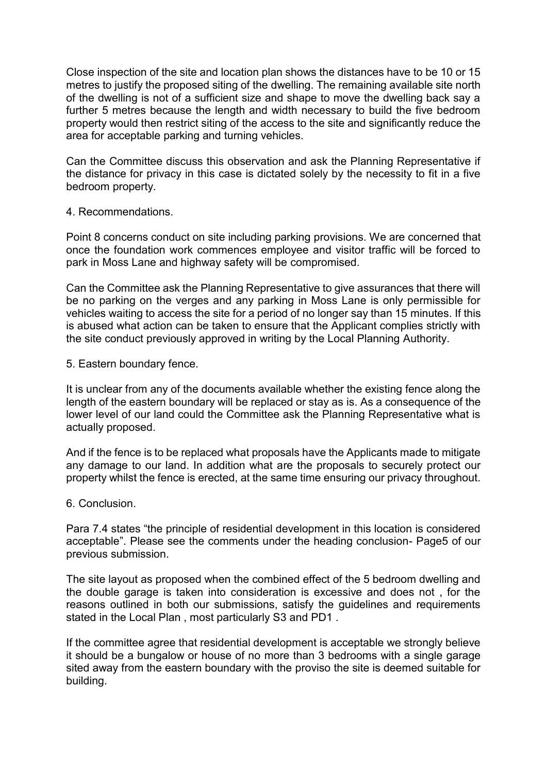Close inspection of the site and location plan shows the distances have to be 10 or 15 metres to justify the proposed siting of the dwelling. The remaining available site north of the dwelling is not of a sufficient size and shape to move the dwelling back say a further 5 metres because the length and width necessary to build the five bedroom property would then restrict siting of the access to the site and significantly reduce the area for acceptable parking and turning vehicles.

Can the Committee discuss this observation and ask the Planning Representative if the distance for privacy in this case is dictated solely by the necessity to fit in a five bedroom property.

4. Recommendations.

Point 8 concerns conduct on site including parking provisions. We are concerned that once the foundation work commences employee and visitor traffic will be forced to park in Moss Lane and highway safety will be compromised.

Can the Committee ask the Planning Representative to give assurances that there will be no parking on the verges and any parking in Moss Lane is only permissible for vehicles waiting to access the site for a period of no longer say than 15 minutes. If this is abused what action can be taken to ensure that the Applicant complies strictly with the site conduct previously approved in writing by the Local Planning Authority.

5. Eastern boundary fence.

It is unclear from any of the documents available whether the existing fence along the length of the eastern boundary will be replaced or stay as is. As a consequence of the lower level of our land could the Committee ask the Planning Representative what is actually proposed.

And if the fence is to be replaced what proposals have the Applicants made to mitigate any damage to our land. In addition what are the proposals to securely protect our property whilst the fence is erected, at the same time ensuring our privacy throughout.

6. Conclusion.

Para 7.4 states "the principle of residential development in this location is considered acceptable". Please see the comments under the heading conclusion- Page5 of our previous submission.

The site layout as proposed when the combined effect of the 5 bedroom dwelling and the double garage is taken into consideration is excessive and does not , for the reasons outlined in both our submissions, satisfy the guidelines and requirements stated in the Local Plan , most particularly S3 and PD1 .

If the committee agree that residential development is acceptable we strongly believe it should be a bungalow or house of no more than 3 bedrooms with a single garage sited away from the eastern boundary with the proviso the site is deemed suitable for building.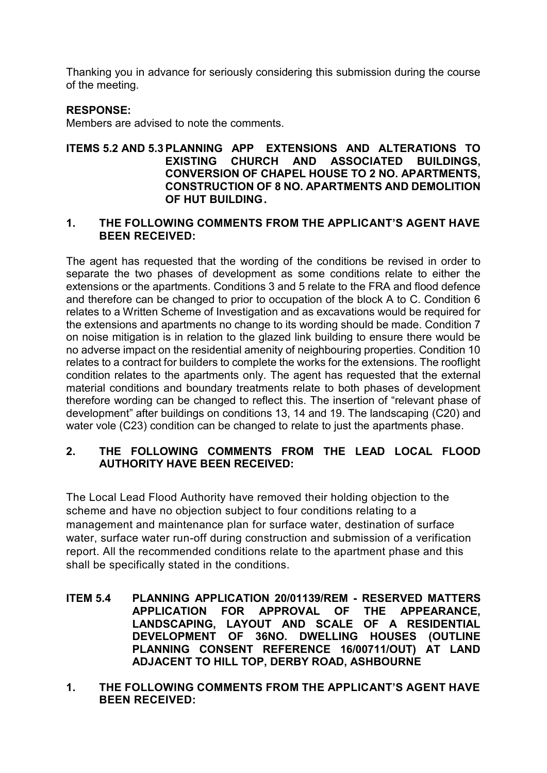Thanking you in advance for seriously considering this submission during the course of the meeting.

# **RESPONSE:**

Members are advised to note the comments.

### **ITEMS 5.2 AND 5.3 PLANNING APP EXTENSIONS AND ALTERATIONS TO EXISTING CHURCH AND ASSOCIATED BUILDINGS, CONVERSION OF CHAPEL HOUSE TO 2 NO. APARTMENTS, CONSTRUCTION OF 8 NO. APARTMENTS AND DEMOLITION OF HUT BUILDING.**

#### **1. THE FOLLOWING COMMENTS FROM THE APPLICANT'S AGENT HAVE BEEN RECEIVED:**

The agent has requested that the wording of the conditions be revised in order to separate the two phases of development as some conditions relate to either the extensions or the apartments. Conditions 3 and 5 relate to the FRA and flood defence and therefore can be changed to prior to occupation of the block A to C. Condition 6 relates to a Written Scheme of Investigation and as excavations would be required for the extensions and apartments no change to its wording should be made. Condition 7 on noise mitigation is in relation to the glazed link building to ensure there would be no adverse impact on the residential amenity of neighbouring properties. Condition 10 relates to a contract for builders to complete the works for the extensions. The rooflight condition relates to the apartments only. The agent has requested that the external material conditions and boundary treatments relate to both phases of development therefore wording can be changed to reflect this. The insertion of "relevant phase of development" after buildings on conditions 13, 14 and 19. The landscaping (C20) and water vole (C23) condition can be changed to relate to just the apartments phase.

## **2. THE FOLLOWING COMMENTS FROM THE LEAD LOCAL FLOOD AUTHORITY HAVE BEEN RECEIVED:**

The Local Lead Flood Authority have removed their holding objection to the scheme and have no objection subject to four conditions relating to a management and maintenance plan for surface water, destination of surface water, surface water run-off during construction and submission of a verification report. All the recommended conditions relate to the apartment phase and this shall be specifically stated in the conditions.

- **ITEM 5.4 PLANNING APPLICATION 20/01139/REM - RESERVED MATTERS APPLICATION FOR APPROVAL OF THE APPEARANCE, LANDSCAPING, LAYOUT AND SCALE OF A RESIDENTIAL DEVELOPMENT OF 36NO. DWELLING HOUSES (OUTLINE PLANNING CONSENT REFERENCE 16/00711/OUT) AT LAND ADJACENT TO HILL TOP, DERBY ROAD, ASHBOURNE**
- **1. THE FOLLOWING COMMENTS FROM THE APPLICANT'S AGENT HAVE BEEN RECEIVED:**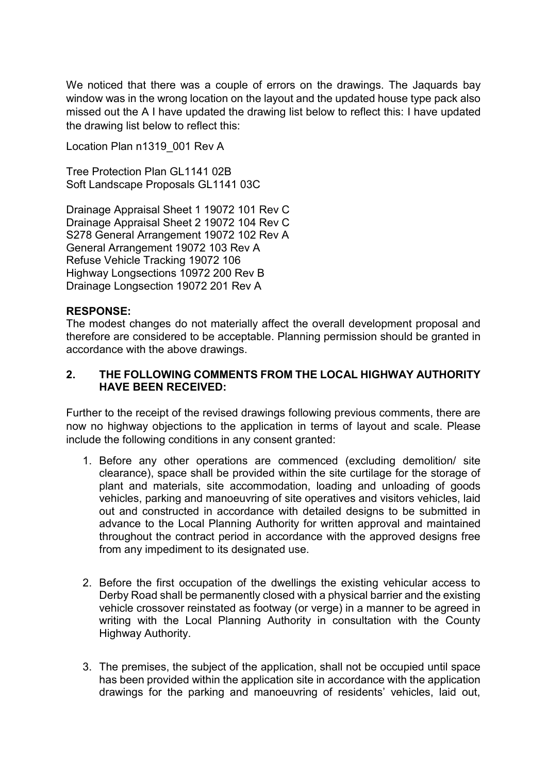We noticed that there was a couple of errors on the drawings. The Jaquards bay window was in the wrong location on the layout and the updated house type pack also missed out the A I have updated the drawing list below to reflect this: I have updated the drawing list below to reflect this:

Location Plan n1319\_001 Rev A

Tree Protection Plan GL1141 02B Soft Landscape Proposals GL1141 03C

Drainage Appraisal Sheet 1 19072 101 Rev C Drainage Appraisal Sheet 2 19072 104 Rev C S278 General Arrangement 19072 102 Rev A General Arrangement 19072 103 Rev A Refuse Vehicle Tracking 19072 106 Highway Longsections 10972 200 Rev B Drainage Longsection 19072 201 Rev A

# **RESPONSE:**

The modest changes do not materially affect the overall development proposal and therefore are considered to be acceptable. Planning permission should be granted in accordance with the above drawings.

## **2. THE FOLLOWING COMMENTS FROM THE LOCAL HIGHWAY AUTHORITY HAVE BEEN RECEIVED:**

Further to the receipt of the revised drawings following previous comments, there are now no highway objections to the application in terms of layout and scale. Please include the following conditions in any consent granted:

- 1. Before any other operations are commenced (excluding demolition/ site clearance), space shall be provided within the site curtilage for the storage of plant and materials, site accommodation, loading and unloading of goods vehicles, parking and manoeuvring of site operatives and visitors vehicles, laid out and constructed in accordance with detailed designs to be submitted in advance to the Local Planning Authority for written approval and maintained throughout the contract period in accordance with the approved designs free from any impediment to its designated use.
- 2. Before the first occupation of the dwellings the existing vehicular access to Derby Road shall be permanently closed with a physical barrier and the existing vehicle crossover reinstated as footway (or verge) in a manner to be agreed in writing with the Local Planning Authority in consultation with the County Highway Authority.
- 3. The premises, the subject of the application, shall not be occupied until space has been provided within the application site in accordance with the application drawings for the parking and manoeuvring of residents' vehicles, laid out,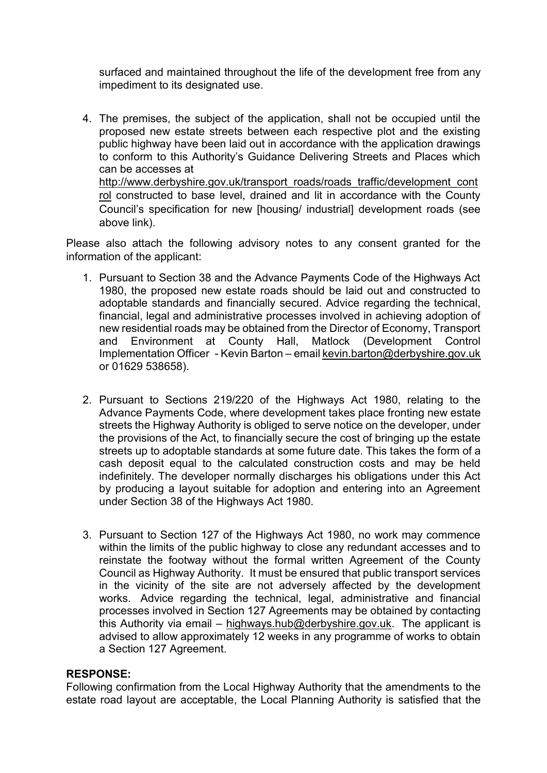surfaced and maintained throughout the life of the development free from any impediment to its designated use.

4. The premises, the subject of the application, shall not be occupied until the proposed new estate streets between each respective plot and the existing public highway have been laid out in accordance with the application drawings to conform to this Authority's Guidance Delivering Streets and Places which can be accesses at [http://www.derbyshire.gov.uk/transport\\_roads/roads\\_traffic/development\\_cont](http://www.derbyshire.gov.uk/transport_roads/roads_traffic/development_control) [rol](http://www.derbyshire.gov.uk/transport_roads/roads_traffic/development_control) constructed to base level, drained and lit in accordance with the County Council's specification for new [housing/ industrial] development roads (see

Please also attach the following advisory notes to any consent granted for the information of the applicant:

- 1. Pursuant to Section 38 and the Advance Payments Code of the Highways Act 1980, the proposed new estate roads should be laid out and constructed to adoptable standards and financially secured. Advice regarding the technical, financial, legal and administrative processes involved in achieving adoption of new residential roads may be obtained from the Director of Economy, Transport and Environment at County Hall, Matlock (Development Control Implementation Officer - Kevin Barton – email [kevin.barton@derbyshire.gov.uk](mailto:kevin.barton@derbyshire.gov.uk) or 01629 538658).
- 2. Pursuant to Sections 219/220 of the Highways Act 1980, relating to the Advance Payments Code, where development takes place fronting new estate streets the Highway Authority is obliged to serve notice on the developer, under the provisions of the Act, to financially secure the cost of bringing up the estate streets up to adoptable standards at some future date. This takes the form of a cash deposit equal to the calculated construction costs and may be held indefinitely. The developer normally discharges his obligations under this Act by producing a layout suitable for adoption and entering into an Agreement under Section 38 of the Highways Act 1980.
- 3. Pursuant to Section 127 of the Highways Act 1980, no work may commence within the limits of the public highway to close any redundant accesses and to reinstate the footway without the formal written Agreement of the County Council as Highway Authority. It must be ensured that public transport services in the vicinity of the site are not adversely affected by the development works. Advice regarding the technical, legal, administrative and financial processes involved in Section 127 Agreements may be obtained by contacting this Authority via email – [highways.hub@derbyshire.gov.uk.](mailto:highways.hub@derbyshire.gov.uk) The applicant is advised to allow approximately 12 weeks in any programme of works to obtain a Section 127 Agreement.

### **RESPONSE:**

above link).

Following confirmation from the Local Highway Authority that the amendments to the estate road layout are acceptable, the Local Planning Authority is satisfied that the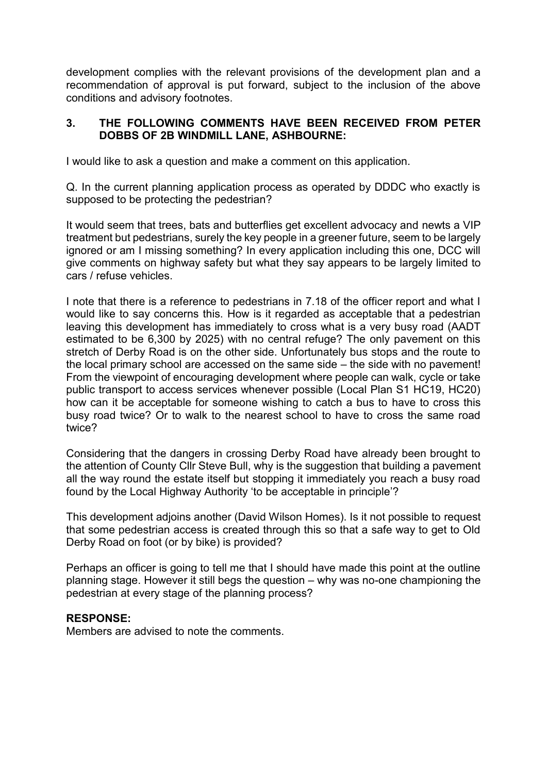development complies with the relevant provisions of the development plan and a recommendation of approval is put forward, subject to the inclusion of the above conditions and advisory footnotes.

## **3. THE FOLLOWING COMMENTS HAVE BEEN RECEIVED FROM PETER DOBBS OF 2B WINDMILL LANE, ASHBOURNE:**

I would like to ask a question and make a comment on this application.

Q. In the current planning application process as operated by DDDC who exactly is supposed to be protecting the pedestrian?

It would seem that trees, bats and butterflies get excellent advocacy and newts a VIP treatment but pedestrians, surely the key people in a greener future, seem to be largely ignored or am I missing something? In every application including this one, DCC will give comments on highway safety but what they say appears to be largely limited to cars / refuse vehicles.

I note that there is a reference to pedestrians in 7.18 of the officer report and what I would like to say concerns this. How is it regarded as acceptable that a pedestrian leaving this development has immediately to cross what is a very busy road (AADT estimated to be 6,300 by 2025) with no central refuge? The only pavement on this stretch of Derby Road is on the other side. Unfortunately bus stops and the route to the local primary school are accessed on the same side – the side with no pavement! From the viewpoint of encouraging development where people can walk, cycle or take public transport to access services whenever possible (Local Plan S1 HC19, HC20) how can it be acceptable for someone wishing to catch a bus to have to cross this busy road twice? Or to walk to the nearest school to have to cross the same road twice?

Considering that the dangers in crossing Derby Road have already been brought to the attention of County Cllr Steve Bull, why is the suggestion that building a pavement all the way round the estate itself but stopping it immediately you reach a busy road found by the Local Highway Authority 'to be acceptable in principle'?

This development adjoins another (David Wilson Homes). Is it not possible to request that some pedestrian access is created through this so that a safe way to get to Old Derby Road on foot (or by bike) is provided?

Perhaps an officer is going to tell me that I should have made this point at the outline planning stage. However it still begs the question – why was no-one championing the pedestrian at every stage of the planning process?

### **RESPONSE:**

Members are advised to note the comments.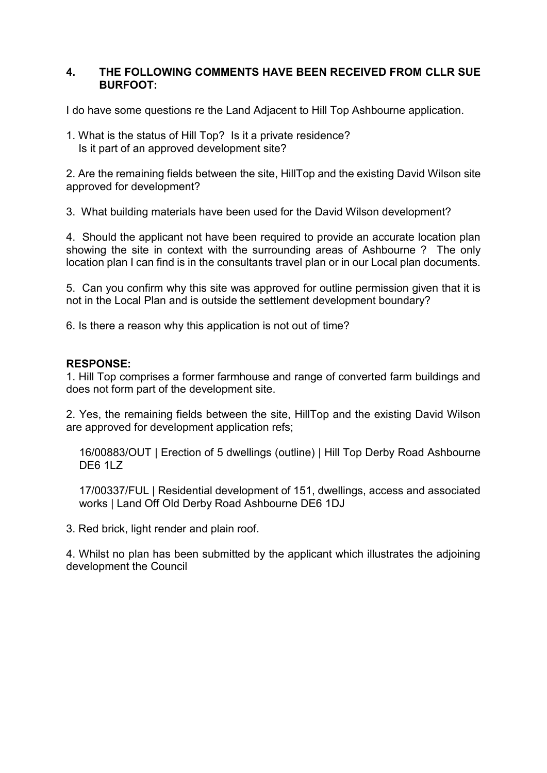### **4. THE FOLLOWING COMMENTS HAVE BEEN RECEIVED FROM CLLR SUE BURFOOT:**

I do have some questions re the Land Adjacent to Hill Top Ashbourne application.

1. What is the status of Hill Top? Is it a private residence? Is it part of an approved development site?

2. Are the remaining fields between the site, HillTop and the existing David Wilson site approved for development?

3. What building materials have been used for the David Wilson development?

4. Should the applicant not have been required to provide an accurate location plan showing the site in context with the surrounding areas of Ashbourne ? The only location plan I can find is in the consultants travel plan or in our Local plan documents.

5. Can you confirm why this site was approved for outline permission given that it is not in the Local Plan and is outside the settlement development boundary?

6. Is there a reason why this application is not out of time?

# **RESPONSE:**

1. Hill Top comprises a former farmhouse and range of converted farm buildings and does not form part of the development site.

2. Yes, the remaining fields between the site, HillTop and the existing David Wilson are approved for development application refs;

16/00883/OUT | Erection of 5 dwellings (outline) | Hill Top Derby Road Ashbourne DE6 1LZ

17/00337/FUL | Residential development of 151, dwellings, access and associated works | Land Off Old Derby Road Ashbourne DE6 1DJ

3. Red brick, light render and plain roof.

4. Whilst no plan has been submitted by the applicant which illustrates the adjoining development the Council